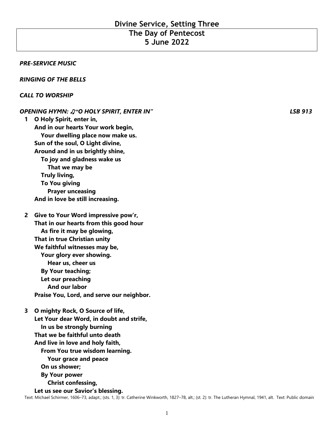# **Divine Service, Setting Three The Day of Pentecost 5 June 2022**

#### *PRE-SERVICE MUSIC*

#### *RINGING OF THE BELLS*

#### *CALL TO WORSHIP*

#### *OPENING HYMN:* ♫*"O HOLY SPIRIT, ENTER IN" LSB 913*

**1 O Holy Spirit, enter in, And in our hearts Your work begin, Your dwelling place now make us. Sun of the soul, O Light divine, Around and in us brightly shine, To joy and gladness wake us That we may be Truly living, To You giving Prayer unceasing And in love be still increasing.**

**2 Give to Your Word impressive pow'r, That in our hearts from this good hour As fire it may be glowing, That in true Christian unity We faithful witnesses may be, Your glory ever showing. Hear us, cheer us By Your teaching; Let our preaching And our labor Praise You, Lord, and serve our neighbor.**

**3 O mighty Rock, O Source of life, Let Your dear Word, in doubt and strife, In us be strongly burning That we be faithful unto death And live in love and holy faith, From You true wisdom learning. Your grace and peace On us shower; By Your power Christ confessing, Let us see our Savior's blessing.**

Text: Michael Schirmer, 1606–73, adapt.; (sts. 1, 3): tr. Catherine Winkworth, 1827–78, alt.; (st. 2): tr. The Lutheran Hymnal, 1941, alt. Text: Public domain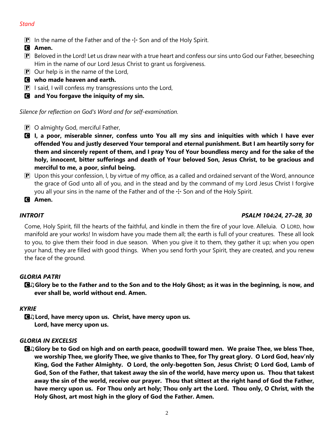# *Stand*

- **P** In the name of the Father and of the  $\pm$  Son and of the Holy Spirit.
- C **Amen.**
- $\mathbf{P}$  Beloved in the Lord! Let us draw near with a true heart and confess our sins unto God our Father, beseeching Him in the name of our Lord Jesus Christ to grant us forgiveness.
- $\mathbf{P}$  Our help is in the name of the Lord,
- C **who made heaven and earth.**
- $\mathbf{P}$  I said, I will confess my transgressions unto the Lord,
- C **and You forgave the iniquity of my sin.**

*Silence for reflection on God's Word and for self-examination.*

- **P** O almighty God, merciful Father,
- C **I, a poor, miserable sinner, confess unto You all my sins and iniquities with which I have ever offended You and justly deserved Your temporal and eternal punishment. But I am heartily sorry for them and sincerely repent of them, and I pray You of Your boundless mercy and for the sake of the holy, innocent, bitter sufferings and death of Your beloved Son, Jesus Christ, to be gracious and merciful to me, a poor, sinful being.**
- $\mathbf{P}$  Upon this your confession, I, by virtue of my office, as a called and ordained servant of the Word, announce the grace of God unto all of you, and in the stead and by the command of my Lord Jesus Christ I forgive you all your sins in the name of the Father and of the  $\pm$  Son and of the Holy Spirit.
- C **Amen.**

## *INTROIT PSALM 104:24, 27–28, 30*

Come, Holy Spirit, fill the hearts of the faithful, and kindle in them the fire of your love. Alleluia. O LORD, how manifold are your works! In wisdom have you made them all; the earth is full of your creatures. These all look to you, to give them their food in due season. When you give it to them, they gather it up; when you open your hand, they are filled with good things. When you send forth your Spirit, they are created, and you renew the face of the ground.

### *GLORIA PATRI*

C♫**Glory be to the Father and to the Son and to the Holy Ghost; as it was in the beginning, is now, and ever shall be, world without end. Amen.**

### *KYRIE*

C♫**Lord, have mercy upon us. Christ, have mercy upon us. Lord, have mercy upon us.**

### *GLORIA IN EXCELSIS*

C♫**Glory be to God on high and on earth peace, goodwill toward men. We praise Thee, we bless Thee, we worship Thee, we glorify Thee, we give thanks to Thee, for Thy great glory. O Lord God, heav'nly King, God the Father Almighty. O Lord, the only-begotten Son, Jesus Christ; O Lord God, Lamb of God, Son of the Father, that takest away the sin of the world, have mercy upon us. Thou that takest away the sin of the world, receive our prayer. Thou that sittest at the right hand of God the Father, have mercy upon us. For Thou only art holy; Thou only art the Lord. Thou only, O Christ, with the Holy Ghost, art most high in the glory of God the Father. Amen.**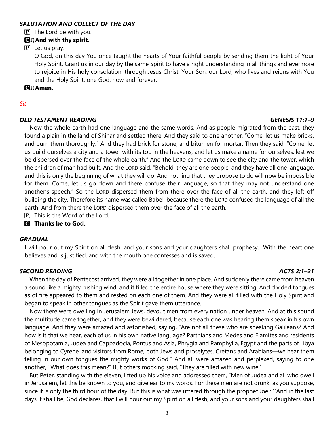# *SALUTATION AND COLLECT OF THE DAY*

 $\overline{P}$  The Lord be with you.

## C♫**And with thy spirit.**

 $\mathbf{P}$  Let us pray.

O God, on this day You once taught the hearts of Your faithful people by sending them the light of Your Holy Spirit. Grant us in our day by the same Spirit to have a right understanding in all things and evermore to rejoice in His holy consolation; through Jesus Christ, Your Son, our Lord, who lives and reigns with You and the Holy Spirit, one God, now and forever.

## C♫**Amen.**

## *Sit*

# *OLD TESTAMENT READING GENESIS 11:1–9*

 Now the whole earth had one language and the same words. And as people migrated from the east, they found a plain in the land of Shinar and settled there. And they said to one another, "Come, let us make bricks, and burn them thoroughly." And they had brick for stone, and bitumen for mortar. Then they said, "Come, let us build ourselves a city and a tower with its top in the heavens, and let us make a name for ourselves, lest we be dispersed over the face of the whole earth." And the LORD came down to see the city and the tower, which the children of man had built. And the LORD said, "Behold, they are one people, and they have all one language, and this is only the beginning of what they will do. And nothing that they propose to do will now be impossible for them. Come, let us go down and there confuse their language, so that they may not understand one another's speech." So the LORD dispersed them from there over the face of all the earth, and they left off building the city. Therefore its name was called Babel, because there the LORD confused the language of all the earth. And from there the LORD dispersed them over the face of all the earth.

 $\boxed{\mathbf{P}}$  This is the Word of the Lord.

C **Thanks be to God.**

## *GRADUAL*

I will pour out my Spirit on all flesh, and your sons and your daughters shall prophesy. With the heart one believes and is justified, and with the mouth one confesses and is saved.

### *SECOND READING ACTS 2:1–21*

 When the day of Pentecost arrived, they were all together in one place. And suddenly there came from heaven a sound like a mighty rushing wind, and it filled the entire house where they were sitting. And divided tongues as of fire appeared to them and rested on each one of them. And they were all filled with the Holy Spirit and began to speak in other tongues as the Spirit gave them utterance.

 Now there were dwelling in Jerusalem Jews, devout men from every nation under heaven. And at this sound the multitude came together, and they were bewildered, because each one was hearing them speak in his own language. And they were amazed and astonished, saying, "Are not all these who are speaking Galileans? And how is it that we hear, each of us in his own native language? Parthians and Medes and Elamites and residents of Mesopotamia, Judea and Cappadocia, Pontus and Asia, Phrygia and Pamphylia, Egypt and the parts of Libya belonging to Cyrene, and visitors from Rome, both Jews and proselytes, Cretans and Arabians—we hear them telling in our own tongues the mighty works of God." And all were amazed and perplexed, saying to one another, "What does this mean?" But others mocking said, "They are filled with new wine."

 But Peter, standing with the eleven, lifted up his voice and addressed them, "Men of Judea and all who dwell in Jerusalem, let this be known to you, and give ear to my words. For these men are not drunk, as you suppose, since it is only the third hour of the day. But this is what was uttered through the prophet Joel: "'And in the last days it shall be, God declares, that I will pour out my Spirit on all flesh, and your sons and your daughters shall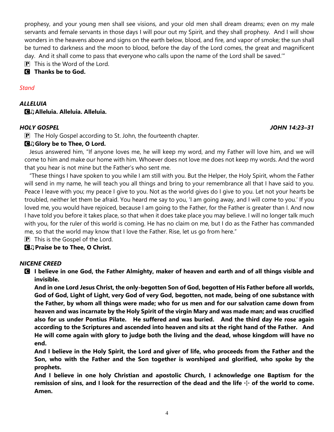prophesy, and your young men shall see visions, and your old men shall dream dreams; even on my male servants and female servants in those days I will pour out my Spirit, and they shall prophesy. And I will show wonders in the heavens above and signs on the earth below, blood, and fire, and vapor of smoke; the sun shall be turned to darkness and the moon to blood, before the day of the Lord comes, the great and magnificent day. And it shall come to pass that everyone who calls upon the name of the Lord shall be saved.'"

 $\overline{P}$  This is the Word of the Lord.

C **Thanks be to God.**

## *Stand*

#### *ALLELUIA* C♫**Alleluia. Alleluia. Alleluia.**

## *HOLY GOSPEL JOHN 14:23–31*

 $\mathbf{P}$  The Holy Gospel according to St. John, the fourteenth chapter.

# C♫**Glory be to Thee, O Lord.**

 Jesus answered him, "If anyone loves me, he will keep my word, and my Father will love him, and we will come to him and make our home with him. Whoever does not love me does not keep my words. And the word that you hear is not mine but the Father's who sent me.

 "These things I have spoken to you while I am still with you. But the Helper, the Holy Spirit, whom the Father will send in my name, he will teach you all things and bring to your remembrance all that I have said to you. Peace I leave with you; my peace I give to you. Not as the world gives do I give to you. Let not your hearts be troubled, neither let them be afraid. You heard me say to you, 'I am going away, and I will come to you.' If you loved me, you would have rejoiced, because I am going to the Father, for the Father is greater than I. And now I have told you before it takes place, so that when it does take place you may believe. I will no longer talk much with you, for the ruler of this world is coming. He has no claim on me, but I do as the Father has commanded me, so that the world may know that I love the Father. Rise, let us go from here."

 $\mathbf{P}$  This is the Gospel of the Lord.

# C♫**Praise be to Thee, O Christ.**

# *NICENE CREED*

C **I believe in one God, the Father Almighty, maker of heaven and earth and of all things visible and invisible.** 

**And in one Lord Jesus Christ, the only-begotten Son of God, begotten of His Father before all worlds, God of God, Light of Light, very God of very God, begotten, not made, being of one substance with the Father, by whom all things were made; who for us men and for our salvation came down from heaven and was incarnate by the Holy Spirit of the virgin Mary and was made man; and was crucified also for us under Pontius Pilate. He suffered and was buried. And the third day He rose again according to the Scriptures and ascended into heaven and sits at the right hand of the Father. And He will come again with glory to judge both the living and the dead, whose kingdom will have no end.** 

**And I believe in the Holy Spirit, the Lord and giver of life, who proceeds from the Father and the Son, who with the Father and the Son together is worshiped and glorified, who spoke by the prophets.**

**And I believe in one holy Christian and apostolic Church, I acknowledge one Baptism for the remission of sins, and I look for the resurrection of the dead and the life** T **of the world to come. Amen.**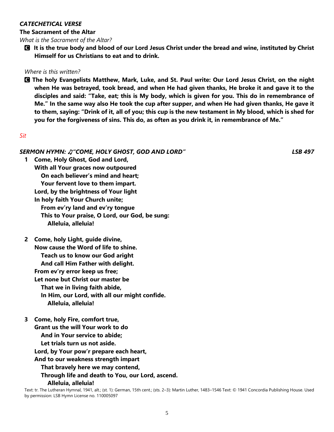### *CATECHETICAL VERSE*

#### **The Sacrament of the Altar**

*What is the Sacrament of the Altar?*

C **It is the true body and blood of our Lord Jesus Christ under the bread and wine, instituted by Christ Himself for us Christians to eat and to drink.**

### *Where is this written?*

C **The holy Evangelists Matthew, Mark, Luke, and St. Paul write: Our Lord Jesus Christ, on the night when He was betrayed, took bread, and when He had given thanks, He broke it and gave it to the disciples and said: "Take, eat; this is My body, which is given for you. This do in remembrance of Me." In the same way also He took the cup after supper, and when He had given thanks, He gave it to them, saying: "Drink of it, all of you; this cup is the new testament in My blood, which is shed for you for the forgiveness of sins. This do, as often as you drink it, in remembrance of Me."**

# *Sit*

# *SERMON HYMN:* ♫*"COME, HOLY GHOST, GOD AND LORD" LSB 497*

**1 Come, Holy Ghost, God and Lord, With all Your graces now outpoured On each believer's mind and heart; Your fervent love to them impart. Lord, by the brightness of Your light In holy faith Your Church unite; From ev'ry land and ev'ry tongue This to Your praise, O Lord, our God, be sung: Alleluia, alleluia!**

- **2 Come, holy Light, guide divine, Now cause the Word of life to shine. Teach us to know our God aright And call Him Father with delight. From ev'ry error keep us free; Let none but Christ our master be That we in living faith abide, In Him, our Lord, with all our might confide. Alleluia, alleluia!**
- **3 Come, holy Fire, comfort true, Grant us the will Your work to do And in Your service to abide; Let trials turn us not aside. Lord, by Your pow'r prepare each heart, And to our weakness strength impart That bravely here we may contend, Through life and death to You, our Lord, ascend. Alleluia, alleluia!**

Text: tr. The Lutheran Hymnal, 1941, alt.; (st. 1): German, 15th cent.; (sts. 2–3): Martin Luther, 1483–1546 Text: © 1941 Concordia Publishing House. Used by permission: LSB Hymn License no. 110005097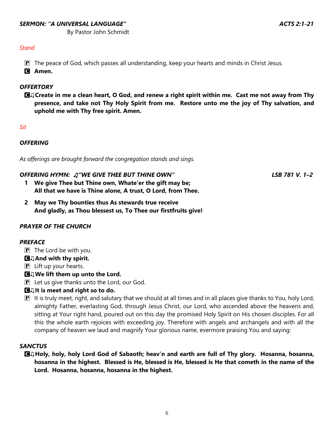## *SERMON: "A UNIVERSAL LANGUAGE" ACTS 2:1-21*

By Pastor John Schmidt

# *Stand*

 $\mathbf{P}$  The peace of God, which passes all understanding, keep your hearts and minds in Christ Jesus.

C **Amen.**

# *OFFERTORY*

C♫**Create in me a clean heart, O God, and renew a right spirit within me. Cast me not away from Thy presence, and take not Thy Holy Spirit from me. Restore unto me the joy of Thy salvation, and uphold me with Thy free spirit. Amen.**

# *Sit*

# *OFFERING*

*As offerings are brought forward the congregation stands and sings.*

# *OFFERING HYMN:* ♫*"WE GIVE THEE BUT THINE OWN" LSB 781 V. 1–2*

- **1 We give Thee but Thine own, Whate'er the gift may be; All that we have is Thine alone, A trust, O Lord, from Thee.**
- **2 May we Thy bounties thus As stewards true receive And gladly, as Thou blessest us, To Thee our firstfruits give!**

# *PRAYER OF THE CHURCH*

# *PREFACE*

- $\mathbf{P}$  The Lord be with you.
- C♫**And with thy spirit.**
- $\mathbf{P}$  Lift up your hearts.
- C♫**We lift them up unto the Lord.**
- $\mathbf{P}$  Let us give thanks unto the Lord, our God.
- C♫**It is meet and right so to do.**
- $\mathbf{P}$  It is truly meet, right, and salutary that we should at all times and in all places give thanks to You, holy Lord, almighty Father, everlasting God, through Jesus Christ, our Lord, who ascended above the heavens and, sitting at Your right hand, poured out on this day the promised Holy Spirit on His chosen disciples. For all this the whole earth rejoices with exceeding joy. Therefore with angels and archangels and with all the company of heaven we laud and magnify Your glorious name, evermore praising You and saying:

# *SANCTUS*

C♫**Holy, holy, holy Lord God of Sabaoth; heav'n and earth are full of Thy glory. Hosanna, hosanna, hosanna in the highest. Blessed is He, blessed is He, blessed is He that cometh in the name of the Lord. Hosanna, hosanna, hosanna in the highest.**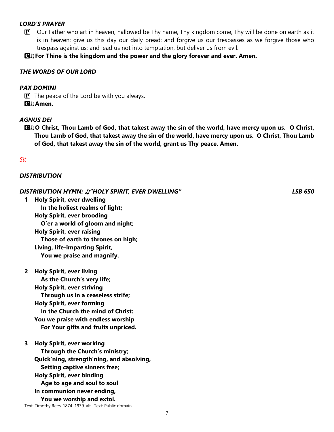## *LORD'S PRAYER*

 $\mathbf{P}$  Our Father who art in heaven, hallowed be Thy name, Thy kingdom come, Thy will be done on earth as it is in heaven; give us this day our daily bread; and forgive us our trespasses as we forgive those who trespass against us; and lead us not into temptation, but deliver us from evil.

C♫**For Thine is the kingdom and the power and the glory forever and ever. Amen.**

### *THE WORDS OF OUR LORD*

#### *PAX DOMINI*

 $\mathbf{P}$  The peace of the Lord be with you always.

C♫**Amen.**

### *AGNUS DEI*

C♫**O Christ, Thou Lamb of God, that takest away the sin of the world, have mercy upon us. O Christ, Thou Lamb of God, that takest away the sin of the world, have mercy upon us. O Christ, Thou Lamb of God, that takest away the sin of the world, grant us Thy peace. Amen.**

#### *Sit*

### *DISTRIBUTION*

*DISTRIBUTION HYMN:* ♫*"HOLY SPIRIT, EVER DWELLING" LSB 650*

- **1 Holy Spirit, ever dwelling In the holiest realms of light; Holy Spirit, ever brooding O'er a world of gloom and night; Holy Spirit, ever raising Those of earth to thrones on high; Living, life-imparting Spirit, You we praise and magnify.**
- **2 Holy Spirit, ever living As the Church's very life; Holy Spirit, ever striving Through us in a ceaseless strife; Holy Spirit, ever forming In the Church the mind of Christ: You we praise with endless worship For Your gifts and fruits unpriced.**

**3 Holy Spirit, ever working Through the Church's ministry; Quick'ning, strength'ning, and absolving, Setting captive sinners free; Holy Spirit, ever binding Age to age and soul to soul In communion never ending, You we worship and extol.**

Text: Timothy Rees, 1874–1939, alt. Text: Public domain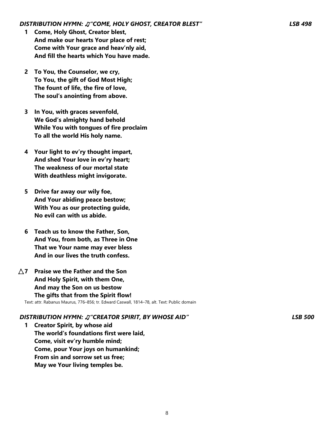### *DISTRIBUTION HYMN:* ♫*"COME, HOLY GHOST, CREATOR BLEST" LSB 498*

- **1 Come, Holy Ghost, Creator blest, And make our hearts Your place of rest; Come with Your grace and heav'nly aid, And fill the hearts which You have made.**
- **2 To You, the Counselor, we cry, To You, the gift of God Most High; The fount of life, the fire of love, The soul's anointing from above.**
- **3 In You, with graces sevenfold, We God's almighty hand behold While You with tongues of fire proclaim To all the world His holy name.**
- **4 Your light to ev'ry thought impart, And shed Your love in ev'ry heart; The weakness of our mortal state With deathless might invigorate.**
- **5 Drive far away our wily foe, And Your abiding peace bestow; With You as our protecting guide, No evil can with us abide.**
- **6 Teach us to know the Father, Son, And You, from both, as Three in One That we Your name may ever bless And in our lives the truth confess.**
- $\triangle$ 7 Praise we the Father and the Son **And Holy Spirit, with them One, And may the Son on us bestow The gifts that from the Spirit flow!** Text: attr. Rabanus Maurus, 776–856; tr. Edward Caswall, 1814–78, alt. Text: Public domain

#### *DISTRIBUTION HYMN:* ♫*"CREATOR SPIRIT, BY WHOSE AID" LSB 500*

**1 Creator Spirit, by whose aid The world's foundations first were laid, Come, visit ev'ry humble mind; Come, pour Your joys on humankind; From sin and sorrow set us free; May we Your living temples be.**

8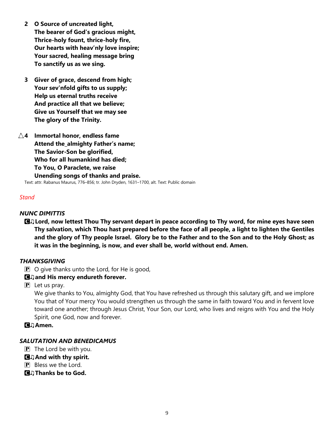- **2 O Source of uncreated light, The bearer of God's gracious might, Thrice-holy fount, thrice-holy fire, Our hearts with heav'nly love inspire; Your sacred, healing message bring To sanctify us as we sing.**
- **3 Giver of grace, descend from high; Your sev'nfold gifts to us supply; Help us eternal truths receive And practice all that we believe; Give us Yourself that we may see The glory of the Trinity.**
- $\triangle$ 4 **Immortal honor, endless fame Attend the\_almighty Father's name; The Savior-Son be glorified, Who for all humankind has died; To You, O Paraclete, we raise Unending songs of thanks and praise.**

Text: attr. Rabanus Maurus, 776–856; tr. John Dryden, 1631–1700, alt. Text: Public domain

## *Stand*

## *NUNC DIMITTIS*

C♫**Lord, now lettest Thou Thy servant depart in peace according to Thy word, for mine eyes have seen Thy salvation, which Thou hast prepared before the face of all people, a light to lighten the Gentiles and the glory of Thy people Israel. Glory be to the Father and to the Son and to the Holy Ghost; as it was in the beginning, is now, and ever shall be, world without end. Amen.**

# *THANKSGIVING*

- $\mathbf{P}$  O give thanks unto the Lord, for He is good,
- C♫**and His mercy endureth forever.**
- $\mathbf{P}$  Let us pray.

We give thanks to You, almighty God, that You have refreshed us through this salutary gift, and we implore You that of Your mercy You would strengthen us through the same in faith toward You and in fervent love toward one another; through Jesus Christ, Your Son, our Lord, who lives and reigns with You and the Holy Spirit, one God, now and forever.

# C♫**Amen.**

### *SALUTATION AND BENEDICAMUS*

- $\mathbf{P}$  The Lord be with you.
- C♫**And with thy spirit.**
- P Bless we the Lord.
- C♫**Thanks be to God.**